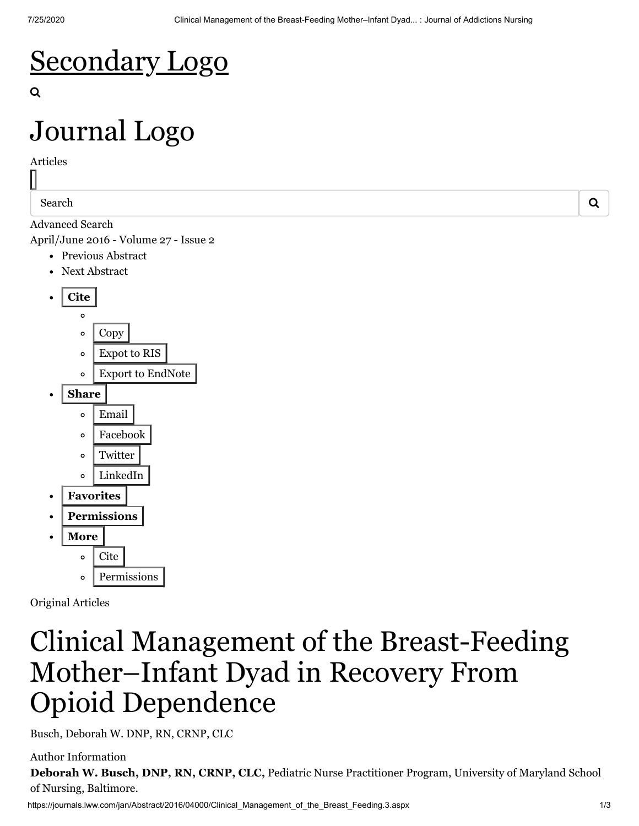### [Secondary Logo](http://wolterskluwer.com/)

# [Journal Logo](https://journals.lww.com/jan/pages/default.aspx)

Articles

Search  $\overline{Q}$ 

[Advanced Search](https://journals.lww.com/jan/pages/advancedsearch.aspx)

[April/June 2016 - Volume 27 - Issue 2](https://journals.lww.com/jan/toc/2016/04000)

- [Previous](https://journals.lww.com/jan/Fulltext/2016/04000/Recovery_and_Recovery_Oriented_Systems_of_Care_.2.aspx) Abstract
- Next [Abstract](https://journals.lww.com/jan/Fulltext/2016/04000/Part_1__The_Theoretical_Basis_for.4.aspx)



Original Articles

### Clinical Management of the Breast-Feeding Mother–Infant Dyad in Recovery From Opioid Dependence

Busch, Deborah W. DNP, RN, CRNP, CLC

https://journals.lww.com/jan/Abstract/2016/04000/Clinical Management of the Breast Feeding.3.aspx 1/3 Author Information **Deborah W. Busch, DNP, RN, CRNP, CLC,** Pediatric Nurse Practitioner Program, University of Maryland School of Nursing, Baltimore.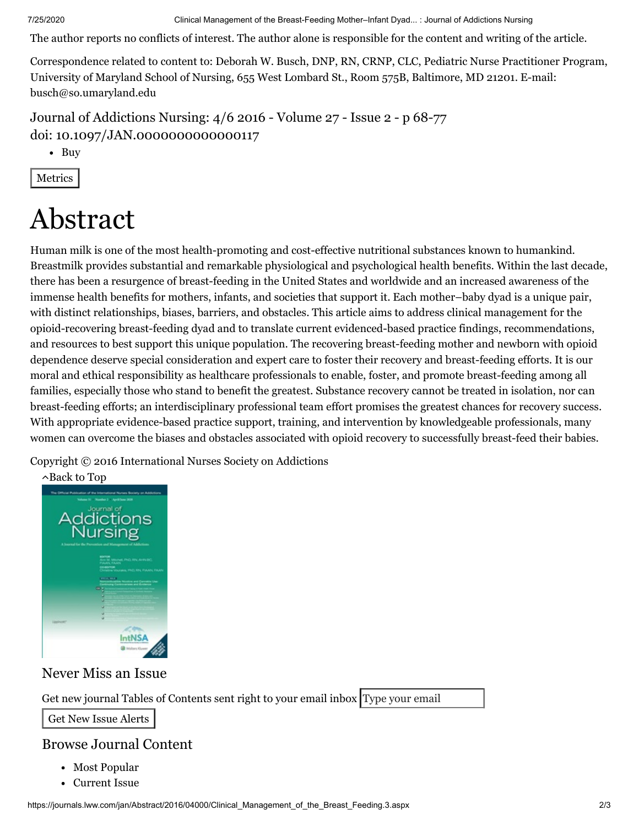7/25/2020 Clinical Management of the Breast-Feeding Mother–Infant Dyad... : Journal of Addictions Nursing

The author reports no conflicts of interest. The author alone is responsible for the content and writing of the article.

Correspondence related to content to: Deborah W. Busch, DNP, RN, CRNP, CLC, Pediatric Nurse Practitioner Program, University of Maryland School of Nursing, 655 West Lombard St., Room 575B, Baltimore, MD 21201. E-mail: [busch@so.umaryland.edu](mailto:busch@so.umaryland.edu)

Journal of Addictions Nursing: 4/6 2016 - [Volume](https://journals.lww.com/jan/toc/2016/04000) 27 - Issue 2 - p 68-77 doi: 10.1097/JAN.0000000000000117

• Buy

Metrics

## Abstract

Human milk is one of the most health-promoting and cost-effective nutritional substances known to humankind. Breastmilk provides substantial and remarkable physiological and psychological health benefits. Within the last decade, there has been a resurgence of breast-feeding in the United States and worldwide and an increased awareness of the immense health benefits for mothers, infants, and societies that support it. Each mother–baby dyad is a unique pair, with distinct relationships, biases, barriers, and obstacles. This article aims to address clinical management for the opioid-recovering breast-feeding dyad and to translate current evidenced-based practice findings, recommendations, and resources to best support this unique population. The recovering breast-feeding mother and newborn with opioid dependence deserve special consideration and expert care to foster their recovery and breast-feeding efforts. It is our moral and ethical responsibility as healthcare professionals to enable, foster, and promote breast-feeding among all families, especially those who stand to benefit the greatest. Substance recovery cannot be treated in isolation, nor can breast-feeding efforts; an interdisciplinary professional team effort promises the greatest chances for recovery success. With appropriate evidence-based practice support, training, and intervention by knowledgeable professionals, many women can overcome the biases and obstacles associated with opioid recovery to successfully breast-feed their babies.

Copyright © 2016 International Nurses Society on Addictions



#### Never Miss an Issue

Get new journal Tables of Contents sent right to your email inbox Type your email

Get New Issue Alerts

#### Browse Journal Content

- [Most Popular](https://journals.lww.com/jan/pages/viewallmostpopulararticles.aspx)
- [Current Issue](https://journals.lww.com/jan/pages/currenttoc.aspx)